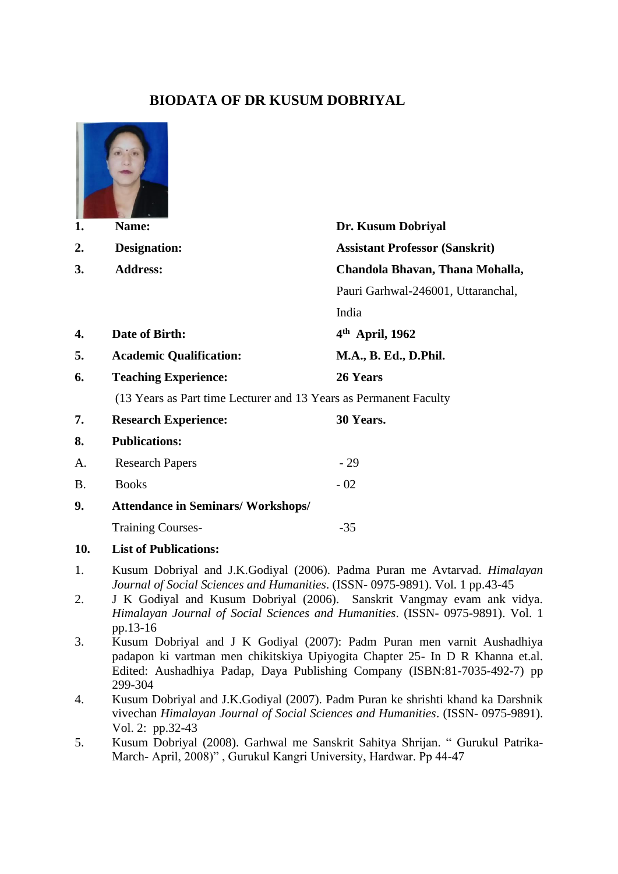## **BIODATA OF DR KUSUM DOBRIYAL**



March- April, 2008)" , Gurukul Kangri University, Hardwar. Pp 44-47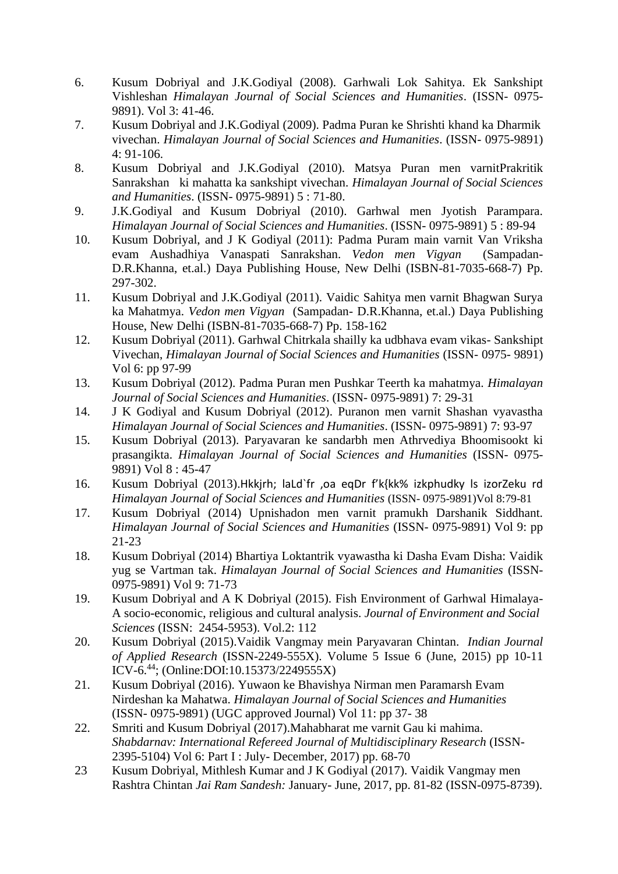- 6. Kusum Dobriyal and J.K.Godiyal (2008). Garhwali Lok Sahitya. Ek Sankshipt Vishleshan *Himalayan Journal of Social Sciences and Humanities*. (ISSN- 0975- 9891). Vol 3: 41-46.
- 7. Kusum Dobriyal and J.K.Godiyal (2009). Padma Puran ke Shrishti khand ka Dharmik vivechan. *Himalayan Journal of Social Sciences and Humanities*. (ISSN- 0975-9891) 4: 91-106.
- 8. Kusum Dobriyal and J.K.Godiyal (2010). Matsya Puran men varnitPrakritik Sanrakshan ki mahatta ka sankshipt vivechan. *Himalayan Journal of Social Sciences and Humanities*. (ISSN- 0975-9891) 5 : 71-80.
- 9. J.K.Godiyal and Kusum Dobriyal (2010). Garhwal men Jyotish Parampara. *Himalayan Journal of Social Sciences and Humanities*. (ISSN- 0975-9891) 5 : 89-94
- 10. Kusum Dobriyal, and J K Godiyal (2011): Padma Puram main varnit Van Vriksha evam Aushadhiya Vanaspati Sanrakshan. *Vedon men Vigyan* (Sampadan-D.R.Khanna, et.al.) Daya Publishing House, New Delhi (ISBN-81-7035-668-7) Pp. 297-302.
- 11. Kusum Dobriyal and J.K.Godiyal (2011). Vaidic Sahitya men varnit Bhagwan Surya ka Mahatmya. *Vedon men Vigyan* (Sampadan- D.R.Khanna, et.al.) Daya Publishing House, New Delhi (ISBN-81-7035-668-7) Pp. 158-162
- 12. Kusum Dobriyal (2011). Garhwal Chitrkala shailly ka udbhava evam vikas- Sankshipt Vivechan, *Himalayan Journal of Social Sciences and Humanities* (ISSN- 0975- 9891) Vol 6: pp 97-99
- 13. Kusum Dobriyal (2012). Padma Puran men Pushkar Teerth ka mahatmya. *Himalayan Journal of Social Sciences and Humanities*. (ISSN- 0975-9891) 7: 29-31
- 14. J K Godiyal and Kusum Dobriyal (2012). Puranon men varnit Shashan vyavastha *Himalayan Journal of Social Sciences and Humanities*. (ISSN- 0975-9891) 7: 93-97
- 15. Kusum Dobriyal (2013). Paryavaran ke sandarbh men Athrvediya Bhoomisookt ki prasangikta. *Himalayan Journal of Social Sciences and Humanities* (ISSN- 0975- 9891) Vol 8 : 45-47
- 16. Kusum Dobriyal (2013).Hkkjrh; laLd`fr ,oa eqDr f'k{kk% izkphudky ls izorZeku rd *Himalayan Journal of Social Sciences and Humanities* (ISSN- 0975-9891)Vol 8:79-81
- 17. Kusum Dobriyal (2014) Upnishadon men varnit pramukh Darshanik Siddhant. *Himalayan Journal of Social Sciences and Humanities* (ISSN- 0975-9891) Vol 9: pp 21-23
- 18. Kusum Dobriyal (2014) Bhartiya Loktantrik vyawastha ki Dasha Evam Disha: Vaidik yug se Vartman tak. *Himalayan Journal of Social Sciences and Humanities* (ISSN-0975-9891) Vol 9: 71-73
- 19. Kusum Dobriyal and A K Dobriyal (2015). Fish Environment of Garhwal Himalaya-A socio-economic, religious and cultural analysis. *Journal of Environment and Social Sciences* (ISSN: 2454-5953). Vol.2: 112
- 20. Kusum Dobriyal (2015).Vaidik Vangmay mein Paryavaran Chintan. *Indian Journal of Applied Research* (ISSN-2249-555X). Volume 5 Issue 6 (June, 2015) pp 10-11 ICV-6.<sup>44</sup>; (Online:DOI:10.15373/2249555X)
- 21. Kusum Dobriyal (2016). Yuwaon ke Bhavishya Nirman men Paramarsh Evam Nirdeshan ka Mahatwa. *Himalayan Journal of Social Sciences and Humanities* (ISSN- 0975-9891) (UGC approved Journal) Vol 11: pp 37- 38
- 22. Smriti and Kusum Dobriyal (2017).Mahabharat me varnit Gau ki mahima. *Shabdarnav: International Refereed Journal of Multidisciplinary Research* (ISSN-2395-5104) Vol 6: Part I : July- December, 2017) pp. 68-70
- 23 Kusum Dobriyal, Mithlesh Kumar and J K Godiyal (2017). Vaidik Vangmay men Rashtra Chintan *Jai Ram Sandesh:* January- June, 2017, pp. 81-82 (ISSN-0975-8739).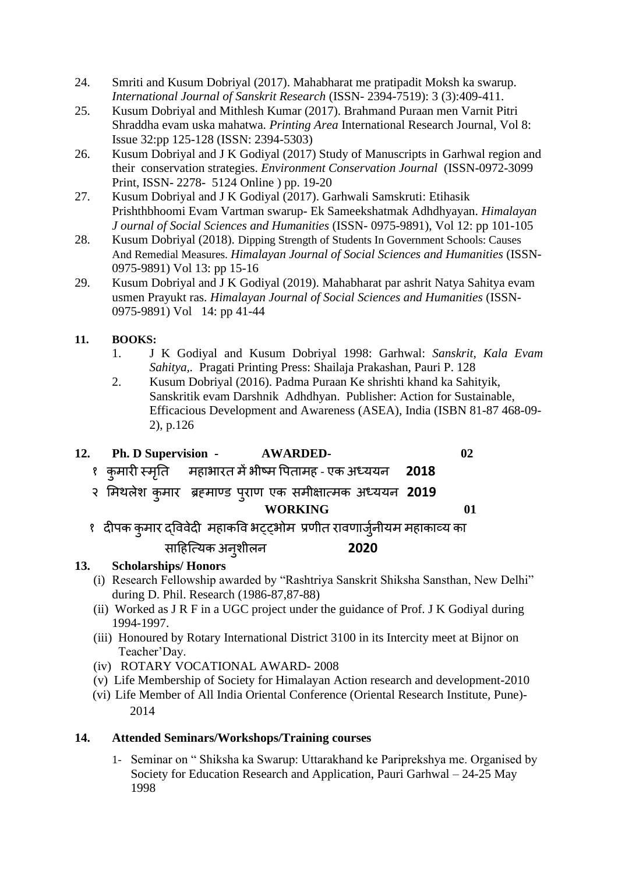- 24. Smriti and Kusum Dobriyal (2017). Mahabharat me pratipadit Moksh ka swarup. *International Journal of Sanskrit Research* (ISSN- 2394-7519): 3 (3):409-411.
- 25. Kusum Dobriyal and Mithlesh Kumar (2017). Brahmand Puraan men Varnit Pitri Shraddha evam uska mahatwa. *Printing Area* International Research Journal, Vol 8: Issue 32:pp 125-128 (ISSN: 2394-5303)
- 26. Kusum Dobriyal and J K Godiyal (2017) Study of Manuscripts in Garhwal region and their conservation strategies. *Environment Conservation Journal* (ISSN-0972-3099 Print, ISSN- 2278- 5124 Online ) pp. 19-20
- 27. Kusum Dobriyal and J K Godiyal (2017). Garhwali Samskruti: Etihasik Prishthbhoomi Evam Vartman swarup- Ek Sameekshatmak Adhdhyayan. *Himalayan J ournal of Social Sciences and Humanities* (ISSN- 0975-9891), Vol 12: pp 101-105
- 28. Kusum Dobriyal (2018). Dipping Strength of Students In Government Schools: Causes And Remedial Measures. *Himalayan Journal of Social Sciences and Humanities* (ISSN-0975-9891) Vol 13: pp 15-16
- 29. Kusum Dobriyal and J K Godiyal (2019). Mahabharat par ashrit Natya Sahitya evam usmen Prayukt ras. *Himalayan Journal of Social Sciences and Humanities* (ISSN-0975-9891) Vol 14: pp 41-44

#### **11. BOOKS:**

- 1. J K Godiyal and Kusum Dobriyal 1998: Garhwal: *Sanskrit, Kala Evam Sahitya,.* Pragati Printing Press: Shailaja Prakashan, Pauri P. 128
- 2. Kusum Dobriyal (2016). Padma Puraan Ke shrishti khand ka Sahityik, Sanskritik evam Darshnik Adhdhyan. Publisher: Action for Sustainable, Efficacious Development and Awareness (ASEA), India (ISBN 81-87 468-09- 2), p.126
- **12. Ph. D Supervision - AWARDED- 02**

- १ कुमारी स्मतृि महाभारि मेंभीष्म पििामह एक अध्ययन **2018**
- २ ममथलेश कुमार ब्रह्माण्ड िुराण एक समीक्षात्मक अध्ययन **2019 WORKING 01** 
	-

# १ दीपक कुमार द्विवेदी महाकवि भट्ट्भोम प्रणीत रावणार्जुनीयम महाकाव्य का साहहत्त्यक अनुशीलन **2020**

### **13. Scholarships/ Honors**

- (i) Research Fellowship awarded by "Rashtriya Sanskrit Shiksha Sansthan, New Delhi" during D. Phil. Research (1986-87,87-88)
- (ii) Worked as J R F in a UGC project under the guidance of Prof. J K Godiyal during 1994-1997.
- (iii) Honoured by Rotary International District 3100 in its Intercity meet at Bijnor on Teacher'Day.
- (iv) ROTARY VOCATIONAL AWARD- 2008
- (v) Life Membership of Society for Himalayan Action research and development-2010
- (vi) Life Member of All India Oriental Conference (Oriental Research Institute, Pune)- 2014

### **14. Attended Seminars/Workshops/Training courses**

1- Seminar on " Shiksha ka Swarup: Uttarakhand ke Pariprekshya me. Organised by Society for Education Research and Application, Pauri Garhwal – 24-25 May 1998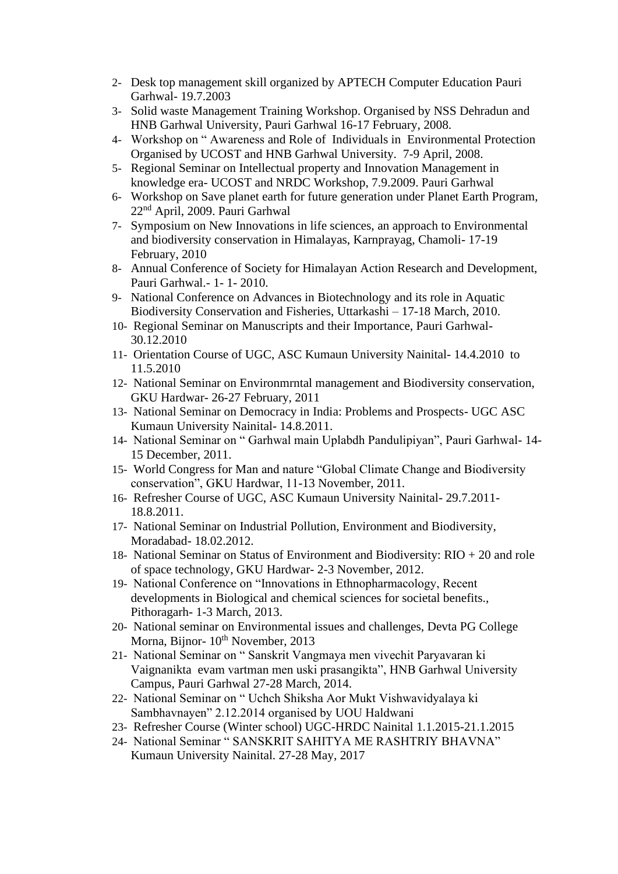- 2- Desk top management skill organized by APTECH Computer Education Pauri Garhwal- 19.7.2003
- 3- Solid waste Management Training Workshop. Organised by NSS Dehradun and HNB Garhwal University, Pauri Garhwal 16-17 February, 2008.
- 4- Workshop on " Awareness and Role of Individuals in Environmental Protection Organised by UCOST and HNB Garhwal University. 7-9 April, 2008.
- 5- Regional Seminar on Intellectual property and Innovation Management in knowledge era- UCOST and NRDC Workshop, 7.9.2009. Pauri Garhwal
- 6- Workshop on Save planet earth for future generation under Planet Earth Program, 22nd April, 2009. Pauri Garhwal
- 7- Symposium on New Innovations in life sciences, an approach to Environmental and biodiversity conservation in Himalayas, Karnprayag, Chamoli- 17-19 February, 2010
- 8- Annual Conference of Society for Himalayan Action Research and Development, Pauri Garhwal.- 1- 1- 2010.
- 9- National Conference on Advances in Biotechnology and its role in Aquatic Biodiversity Conservation and Fisheries, Uttarkashi – 17-18 March, 2010.
- 10- Regional Seminar on Manuscripts and their Importance, Pauri Garhwal-30.12.2010
- 11- Orientation Course of UGC, ASC Kumaun University Nainital- 14.4.2010 to 11.5.2010
- 12- National Seminar on Environmrntal management and Biodiversity conservation, GKU Hardwar- 26-27 February, 2011
- 13- National Seminar on Democracy in India: Problems and Prospects- UGC ASC Kumaun University Nainital- 14.8.2011.
- 14- National Seminar on " Garhwal main Uplabdh Pandulipiyan", Pauri Garhwal- 14- 15 December, 2011.
- 15- World Congress for Man and nature "Global Climate Change and Biodiversity conservation", GKU Hardwar, 11-13 November, 2011.
- 16- Refresher Course of UGC, ASC Kumaun University Nainital- 29.7.2011- 18.8.2011.
- 17- National Seminar on Industrial Pollution, Environment and Biodiversity, Moradabad- 18.02.2012.
- 18- National Seminar on Status of Environment and Biodiversity: RIO + 20 and role of space technology, GKU Hardwar- 2-3 November, 2012.
- 19- National Conference on "Innovations in Ethnopharmacology, Recent developments in Biological and chemical sciences for societal benefits., Pithoragarh- 1-3 March, 2013.
- 20- National seminar on Environmental issues and challenges, Devta PG College Morna, Bijnor-  $10^{th}$  November, 2013
- 21- National Seminar on " Sanskrit Vangmaya men vivechit Paryavaran ki Vaignanikta evam vartman men uski prasangikta", HNB Garhwal University Campus, Pauri Garhwal 27-28 March, 2014.
- 22- National Seminar on " Uchch Shiksha Aor Mukt Vishwavidyalaya ki Sambhavnayen" 2.12.2014 organised by UOU Haldwani
- 23- Refresher Course (Winter school) UGC-HRDC Nainital 1.1.2015-21.1.2015
- 24- National Seminar " SANSKRIT SAHITYA ME RASHTRIY BHAVNA" Kumaun University Nainital. 27-28 May, 2017